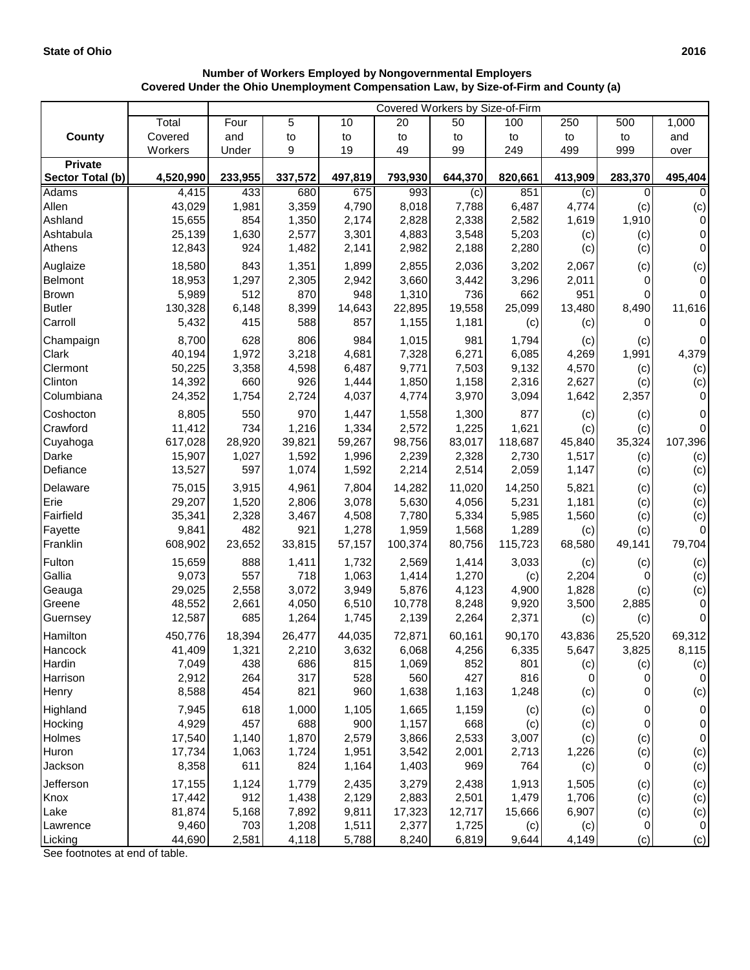## **Number of Workers Employed by Nongovernmental Employers Covered Under the Ohio Unemployment Compensation Law, by Size-of-Firm and County (a)**

|                  |           | Covered Workers by Size-of-Firm |         |         |         |         |         |         |              |                     |  |
|------------------|-----------|---------------------------------|---------|---------|---------|---------|---------|---------|--------------|---------------------|--|
|                  | Total     | Four                            | 5       | 10      | 20      | 50      | 100     | 250     | 500          | 1,000               |  |
| <b>County</b>    | Covered   | and                             | to      | to      | to      | to      | to      | to      | to           | and                 |  |
|                  | Workers   | Under                           | 9       | 19      | 49      | 99      | 249     | 499     | 999          | over                |  |
| <b>Private</b>   |           |                                 |         |         |         |         |         |         |              |                     |  |
| Sector Total (b) | 4,520,990 | 233,955                         | 337,572 | 497,819 | 793,930 | 644,370 | 820,661 | 413,909 | 283,370      | 495,404             |  |
| <b>Adams</b>     | 4,415     | 433                             | 680     | 675     | 993     | (c)     | 851     | (c)     | 0            | $\Omega$            |  |
| Allen            | 43,029    | 1,981                           | 3,359   | 4,790   | 8,018   | 7,788   | 6,487   | 4,774   | (c)          | (c)                 |  |
| Ashland          | 15,655    | 854                             | 1,350   | 2,174   | 2,828   | 2,338   | 2,582   | 1,619   | 1,910        | $\pmb{0}$           |  |
| Ashtabula        | 25,139    | 1,630                           | 2,577   | 3,301   | 4,883   | 3,548   | 5,203   | (c)     | (c)          | 0                   |  |
| Athens           | 12,843    | 924                             | 1,482   | 2,141   | 2,982   | 2,188   | 2,280   | (c)     | (c)          | $\mathsf{O}\xspace$ |  |
| Auglaize         | 18,580    | 843                             | 1,351   | 1,899   | 2,855   | 2,036   | 3,202   | 2,067   | (c)          | (c)                 |  |
| Belmont          | 18,953    | 1,297                           | 2,305   | 2,942   | 3,660   | 3,442   | 3,296   | 2,011   | 0            | $\mathsf{O}\xspace$ |  |
| <b>Brown</b>     | 5,989     | 512                             | 870     | 948     | 1,310   | 736     | 662     | 951     | 0            | $\mathbf 0$         |  |
| <b>Butler</b>    | 130,328   | 6,148                           | 8,399   | 14,643  | 22,895  | 19,558  | 25,099  | 13,480  | 8,490        | 11,616              |  |
| Carroll          | 5,432     | 415                             | 588     | 857     | 1,155   | 1,181   | (c)     | (c)     | 0            | $\mathbf 0$         |  |
| Champaign        | 8,700     | 628                             | 806     | 984     | 1,015   | 981     | 1,794   | (c)     | (c)          | $\pmb{0}$           |  |
| Clark            | 40,194    | 1,972                           | 3,218   | 4,681   | 7,328   | 6,271   | 6,085   | 4,269   | 1,991        | 4,379               |  |
| Clermont         | 50,225    | 3,358                           | 4,598   | 6,487   | 9,771   | 7,503   | 9,132   | 4,570   | (c)          | (c)                 |  |
| Clinton          | 14,392    | 660                             | 926     | 1,444   | 1,850   | 1,158   | 2,316   | 2,627   | (c)          | (c)                 |  |
| Columbiana       | 24,352    | 1,754                           | 2,724   | 4,037   | 4,774   | 3,970   | 3,094   | 1,642   | 2,357        | 0                   |  |
| Coshocton        | 8,805     | 550                             | 970     | 1,447   | 1,558   | 1,300   | 877     | (c)     | (c)          | 0                   |  |
| Crawford         | 11,412    | 734                             | 1,216   | 1,334   | 2,572   | 1,225   | 1,621   | (c)     | (c)          | $\pmb{0}$           |  |
| Cuyahoga         | 617,028   | 28,920                          | 39,821  | 59,267  | 98,756  | 83,017  | 118,687 | 45,840  | 35,324       | 107,396             |  |
| Darke            | 15,907    | 1,027                           | 1,592   | 1,996   | 2,239   | 2,328   | 2,730   | 1,517   | (c)          | (c)                 |  |
| Defiance         | 13,527    | 597                             | 1,074   | 1,592   | 2,214   | 2,514   | 2,059   | 1,147   | (c)          | (c)                 |  |
| Delaware         | 75,015    | 3,915                           | 4,961   | 7,804   | 14,282  | 11,020  | 14,250  | 5,821   | (c)          | (c)                 |  |
| Erie             | 29,207    | 1,520                           | 2,806   | 3,078   | 5,630   | 4,056   | 5,231   | 1,181   | (c)          | (c)                 |  |
| Fairfield        | 35,341    | 2,328                           | 3,467   | 4,508   | 7,780   | 5,334   | 5,985   | 1,560   | (c)          | (c)                 |  |
| Fayette          | 9,841     | 482                             | 921     | 1,278   | 1,959   | 1,568   | 1,289   | (c)     | (c)          | $\pmb{0}$           |  |
| Franklin         | 608,902   | 23,652                          | 33,815  | 57,157  | 100,374 | 80,756  | 115,723 | 68,580  | 49,141       | 79,704              |  |
| Fulton           | 15,659    | 888                             | 1,411   | 1,732   | 2,569   | 1,414   | 3,033   | (c)     | (c)          | (c)                 |  |
| Gallia           | 9,073     | 557                             | 718     | 1,063   | 1,414   | 1,270   | (c)     | 2,204   | 0            | (c)                 |  |
| Geauga           | 29,025    | 2,558                           | 3,072   | 3,949   | 5,876   | 4,123   | 4,900   | 1,828   | (c)          | (c)                 |  |
| Greene           | 48,552    | 2,661                           | 4,050   | 6,510   | 10,778  | 8,248   | 9,920   | 3,500   | 2,885        | $\pmb{0}$           |  |
| Guernsey         | 12,587    | 685                             | 1,264   | 1,745   | 2,139   | 2,264   | 2,371   | (c)     | (c)          | $\pmb{0}$           |  |
| Hamilton         | 450,776   | 18,394                          | 26,477  | 44,035  | 72,871  | 60,161  | 90,170  | 43,836  | 25,520       | 69,312              |  |
| Hancock          | 41,409    | 1,321                           | 2,210   | 3,632   | 6,068   | 4,256   | 6,335   | 5,647   | 3,825        | 8,115               |  |
| Hardin           | 7,049     | 438                             | 686     | 815     | 1,069   | 852     | 801     | (c)     | (c)          | (c)                 |  |
| Harrison         | 2,912     | 264                             | 317     | 528     | 560     | 427     | 816     | 0       | $\mathbf{O}$ | $\pmb{0}$           |  |
| Henry            | 8,588     | 454                             | 821     | 960     | 1,638   | 1,163   | 1,248   | (c)     | 0            | (c)                 |  |
| Highland         | 7,945     | 618                             | 1,000   | 1,105   | 1,665   | 1,159   | (c)     | (c)     | 0            | $\pmb{0}$           |  |
| Hocking          | 4,929     | 457                             | 688     | 900     | 1,157   | 668     | (c)     | (c)     | $\pmb{0}$    | $\pmb{0}$           |  |
| Holmes           | 17,540    | 1,140                           | 1,870   | 2,579   | 3,866   | 2,533   | 3,007   | (c)     | (c)          | $\pmb{0}$           |  |
| Huron            | 17,734    | 1,063                           | 1,724   | 1,951   | 3,542   | 2,001   | 2,713   | 1,226   | (c)          | (c)                 |  |
| Jackson          | 8,358     | 611                             | 824     | 1,164   | 1,403   | 969     | 764     | (c)     | 0            | (c)                 |  |
| Jefferson        | 17,155    | 1,124                           | 1,779   | 2,435   | 3,279   | 2,438   | 1,913   | 1,505   | (c)          | (c)                 |  |
| Knox             | 17,442    | 912                             | 1,438   | 2,129   | 2,883   | 2,501   | 1,479   | 1,706   | (c)          | (c)                 |  |
| Lake             | 81,874    | 5,168                           | 7,892   | 9,811   | 17,323  | 12,717  | 15,666  | 6,907   | (c)          | (c)                 |  |
| Lawrence         | 9,460     | 703                             | 1,208   | 1,511   | 2,377   | 1,725   | (c)     | (c)     | $\mathbf 0$  | $\pmb{0}$           |  |
| Licking          | 44,690    | 2,581                           | 4,118   | 5,788   | 8,240   | 6,819   | 9,644   | 4,149   | (c)          | (c)                 |  |

See footnotes at end of table.